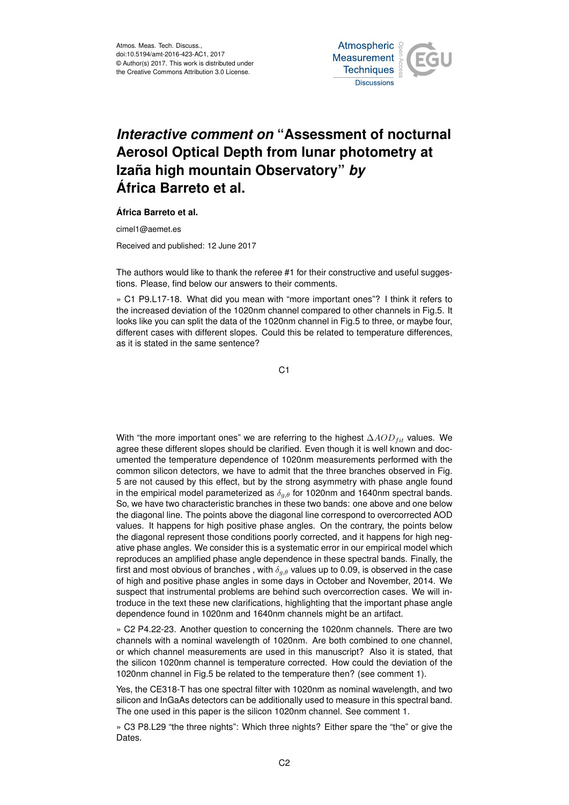

## *Interactive comment on* **"Assessment of nocturnal Aerosol Optical Depth from lunar photometry at Izaña high mountain Observatory"** *by* **África Barreto et al.**

## **África Barreto et al.**

cimel1@aemet.es

Received and published: 12 June 2017

The authors would like to thank the referee #1 for their constructive and useful suggestions. Please, find below our answers to their comments.

» C1 P9.L17-18. What did you mean with "more important ones"? I think it refers to the increased deviation of the 1020nm channel compared to other channels in Fig.5. It looks like you can split the data of the 1020nm channel in Fig.5 to three, or maybe four, different cases with different slopes. Could this be related to temperature differences, as it is stated in the same sentence?

C1

With "the more important ones" we are referring to the highest  $\Delta AOD_{fit}$  values. We agree these different slopes should be clarified. Even though it is well known and documented the temperature dependence of 1020nm measurements performed with the common silicon detectors, we have to admit that the three branches observed in Fig. 5 are not caused by this effect, but by the strong asymmetry with phase angle found in the empirical model parameterized as  $\delta_{q,\theta}$  for 1020nm and 1640nm spectral bands. So, we have two characteristic branches in these two bands: one above and one below the diagonal line. The points above the diagonal line correspond to overcorrected AOD values. It happens for high positive phase angles. On the contrary, the points below the diagonal represent those conditions poorly corrected, and it happens for high negative phase angles. We consider this is a systematic error in our empirical model which reproduces an amplified phase angle dependence in these spectral bands. Finally, the first and most obvious of branches, with  $\delta_{a,\theta}$  values up to 0.09, is observed in the case of high and positive phase angles in some days in October and November, 2014. We suspect that instrumental problems are behind such overcorrection cases. We will introduce in the text these new clarifications, highlighting that the important phase angle dependence found in 1020nm and 1640nm channels might be an artifact.

» C2 P4.22-23. Another question to concerning the 1020nm channels. There are two channels with a nominal wavelength of 1020nm. Are both combined to one channel, or which channel measurements are used in this manuscript? Also it is stated, that the silicon 1020nm channel is temperature corrected. How could the deviation of the 1020nm channel in Fig.5 be related to the temperature then? (see comment 1).

Yes, the CE318-T has one spectral filter with 1020nm as nominal wavelength, and two silicon and InGaAs detectors can be additionally used to measure in this spectral band. The one used in this paper is the silicon 1020nm channel. See comment 1.

» C3 P8.L29 "the three nights": Which three nights? Either spare the "the" or give the Dates.